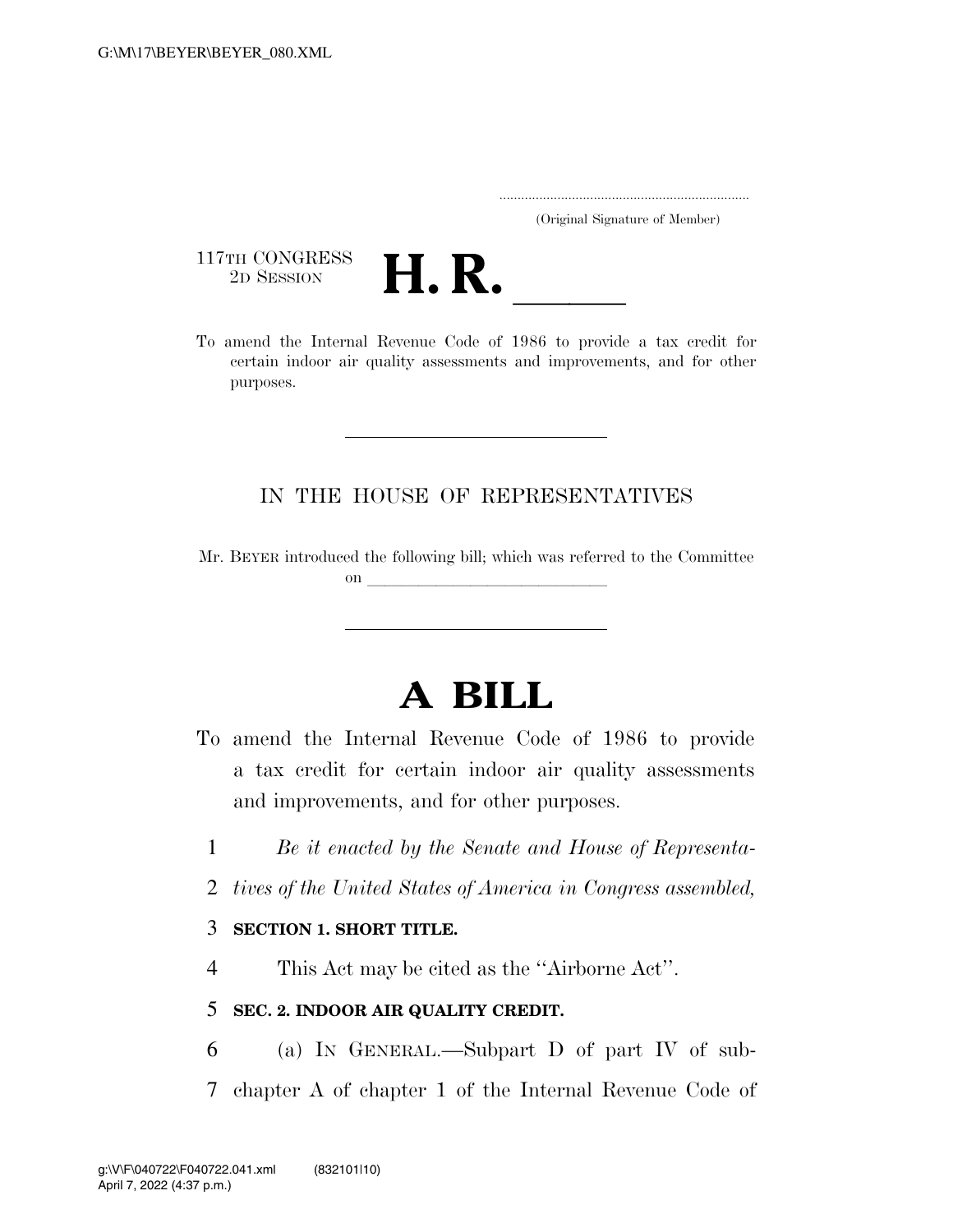..................................................................... (Original Signature of Member)

117TH CONGRESS<br>2D SESSION



117TH CONGRESS<br>
2D SESSION<br>
To amend the Internal Revenue Code of 1986 to provide a tax credit for certain indoor air quality assessments and improvements, and for other purposes.

## IN THE HOUSE OF REPRESENTATIVES

Mr. BEYER introduced the following bill; which was referred to the Committee on  $\overline{\qquad \qquad }$ 

# **A BILL**

- To amend the Internal Revenue Code of 1986 to provide a tax credit for certain indoor air quality assessments and improvements, and for other purposes.
	- 1 *Be it enacted by the Senate and House of Representa-*
	- 2 *tives of the United States of America in Congress assembled,*

## 3 **SECTION 1. SHORT TITLE.**

4 This Act may be cited as the ''Airborne Act''.

## 5 **SEC. 2. INDOOR AIR QUALITY CREDIT.**

- 6 (a) IN GENERAL.—Subpart D of part IV of sub-
- 7 chapter A of chapter 1 of the Internal Revenue Code of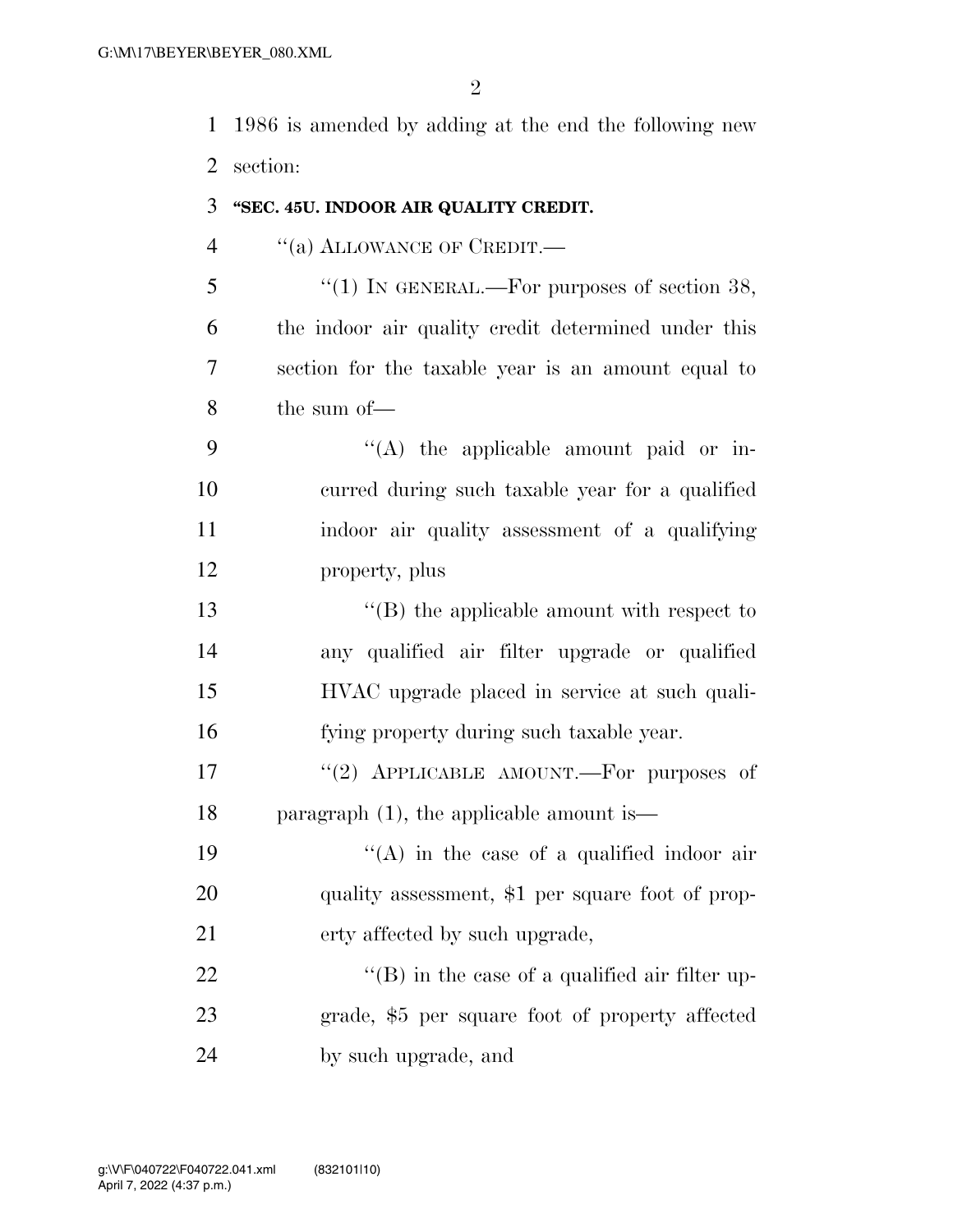1986 is amended by adding at the end the following new section:

## **''SEC. 45U. INDOOR AIR QUALITY CREDIT.**

4 "(a) ALLOWANCE OF CREDIT.

 $\frac{1}{5}$  ''(1) In GENERAL.—For purposes of section 38, the indoor air quality credit determined under this section for the taxable year is an amount equal to the sum of—

 $\langle (A)$  the applicable amount paid or in- curred during such taxable year for a qualified indoor air quality assessment of a qualifying property, plus

 ''(B) the applicable amount with respect to any qualified air filter upgrade or qualified HVAC upgrade placed in service at such quali-fying property during such taxable year.

17  $(2)$  APPLICABLE AMOUNT. For purposes of paragraph (1), the applicable amount is—

19  $((A)$  in the case of a qualified indoor air 20 quality assessment, \$1 per square foot of prop-erty affected by such upgrade,

22  $\text{``(B)}$  in the case of a qualified air filter up- grade, \$5 per square foot of property affected by such upgrade, and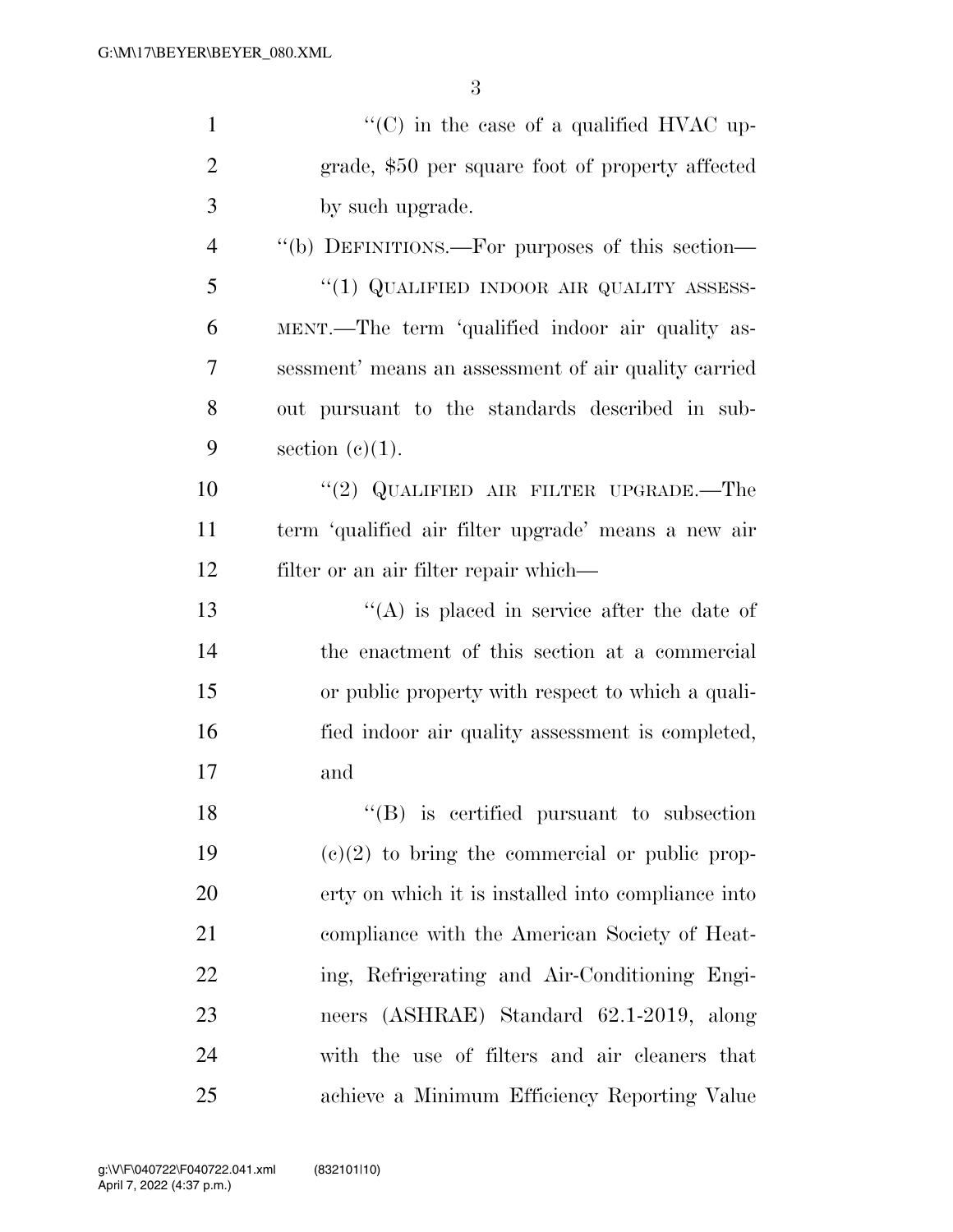| $\mathbf{1}$   | $\cdot\cdot$ (C) in the case of a qualified HVAC up-       |
|----------------|------------------------------------------------------------|
| $\overline{2}$ | grade, \$50 per square foot of property affected           |
| 3              | by such upgrade.                                           |
| $\overline{4}$ | "(b) DEFINITIONS.—For purposes of this section—            |
| 5              | "(1) QUALIFIED INDOOR AIR QUALITY ASSESS-                  |
| 6              | MENT.—The term 'qualified indoor air quality as-           |
| 7              | sessment' means an assessment of air quality carried       |
| 8              | out pursuant to the standards described in sub-            |
| 9              | section $(e)(1)$ .                                         |
| 10             | "(2) QUALIFIED AIR FILTER UPGRADE.—The                     |
| 11             | term 'qualified air filter upgrade' means a new air        |
| 12             | filter or an air filter repair which—                      |
| 13             | $\lq\lq$ is placed in service after the date of            |
| 14             | the enactment of this section at a commercial              |
| 15             | or public property with respect to which a quali-          |
| 16             | fied indoor air quality assessment is completed,           |
| 17             | and                                                        |
| 18             | $\lq$ <sup>"</sup> (B) is certified pursuant to subsection |
| 19             | $(e)(2)$ to bring the commercial or public prop-           |
| 20             | erty on which it is installed into compliance into         |
| 21             | compliance with the American Society of Heat-              |
| 22             | ing, Refrigerating and Air-Conditioning Engi-              |
| 23             | neers (ASHRAE) Standard 62.1-2019, along                   |
| 24             | with the use of filters and air cleaners that              |
| 25             | achieve a Minimum Efficiency Reporting Value               |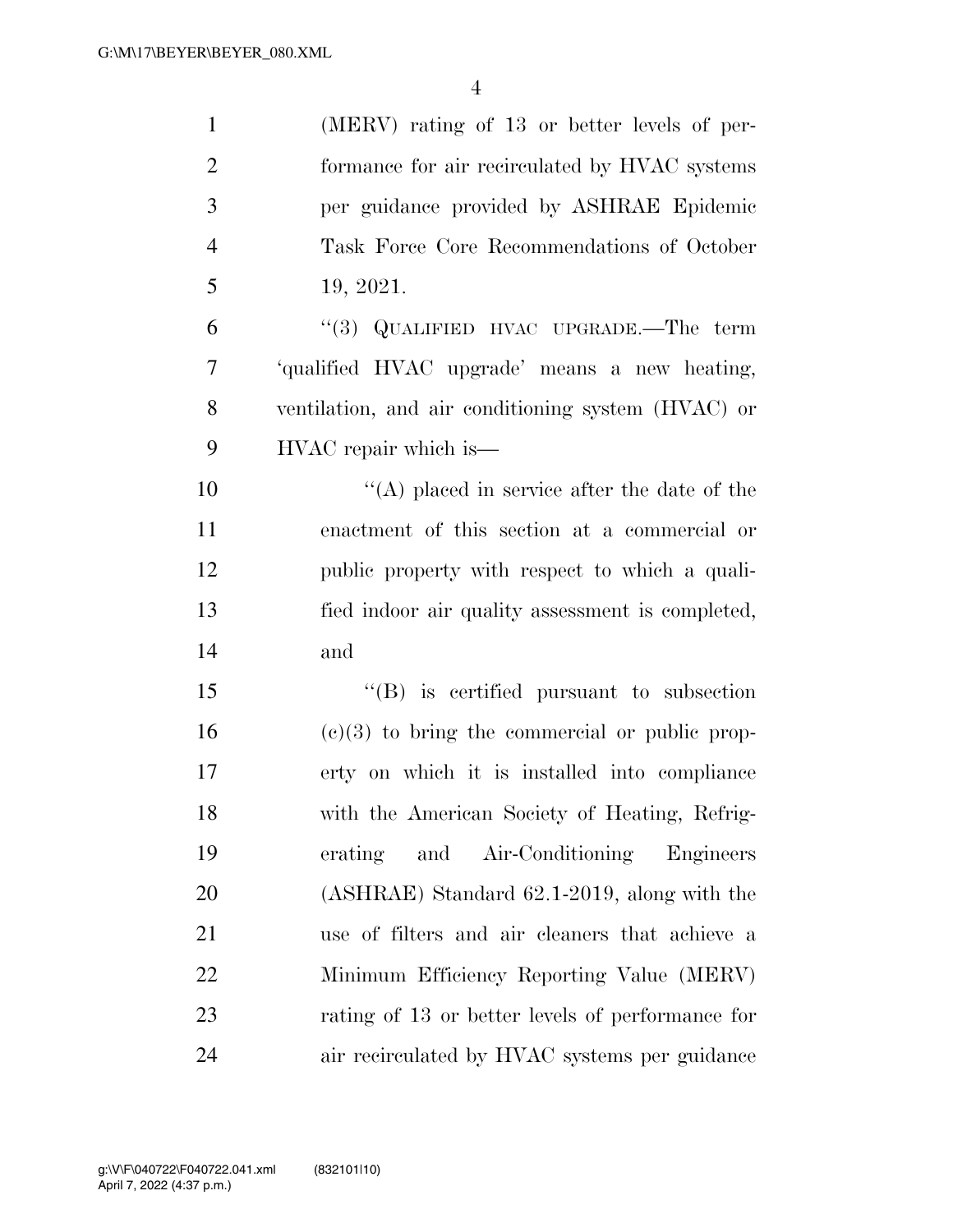| $\mathbf{1}$   | (MERV) rating of 13 or better levels of per-       |
|----------------|----------------------------------------------------|
| $\overline{2}$ | formance for air recirculated by HVAC systems      |
| 3              | per guidance provided by ASHRAE Epidemic           |
| $\overline{4}$ | Task Force Core Recommendations of October         |
| 5              | 19, 2021.                                          |
| 6              | "(3) QUALIFIED HVAC UPGRADE.—The term              |
| 7              | 'qualified HVAC upgrade' means a new heating,      |
| 8              | ventilation, and air conditioning system (HVAC) or |
| 9              | HVAC repair which is—                              |
| 10             | $\lq\lq$ placed in service after the date of the   |
| 11             | enactment of this section at a commercial or       |
| 12             | public property with respect to which a quali-     |
| 13             | fied indoor air quality assessment is completed,   |
| 14             | and                                                |
| 15             | "(B) is certified pursuant to subsection           |
| 16             | $(e)(3)$ to bring the commercial or public prop-   |
| 17             | erty on which it is installed into compliance      |
| 18             | with the American Society of Heating, Refrig-      |
| 19             | erating and Air-Conditioning<br>Engineers          |
| 20             | (ASHRAE) Standard 62.1-2019, along with the        |
| 21             | use of filters and air cleaners that achieve a     |
| 22             | Minimum Efficiency Reporting Value (MERV)          |
| 23             | rating of 13 or better levels of performance for   |
| 24             | air recirculated by HVAC systems per guidance      |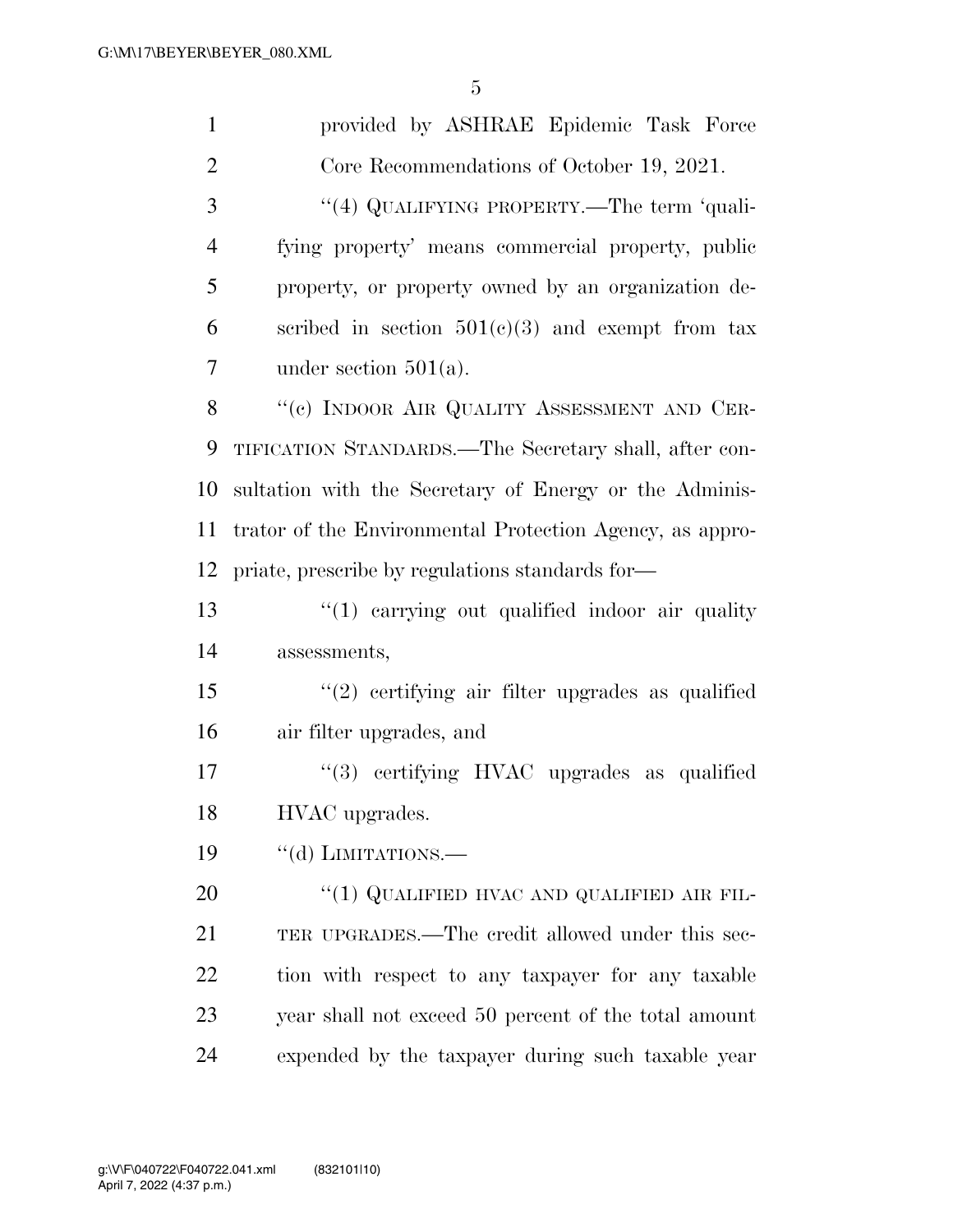| $\mathbf{1}$   | provided by ASHRAE Epidemic Task Force                   |
|----------------|----------------------------------------------------------|
| $\overline{2}$ | Core Recommendations of October 19, 2021.                |
| 3              | "(4) QUALIFYING PROPERTY.—The term 'quali-               |
| $\overline{4}$ | fying property' means commercial property, public        |
| 5              | property, or property owned by an organization de-       |
| 6              | scribed in section $501(c)(3)$ and exempt from tax       |
| 7              | under section $501(a)$ .                                 |
| 8              | "(c) INDOOR AIR QUALITY ASSESSMENT AND CER-              |
| 9              | TIFICATION STANDARDS.—The Secretary shall, after con-    |
| 10             | sultation with the Secretary of Energy or the Adminis-   |
| 11             | trator of the Environmental Protection Agency, as appro- |
| 12             | priate, prescribe by regulations standards for—          |
| 13             | $\lq(1)$ carrying out qualified indoor air quality       |
| 14             | assessments,                                             |
| 15             | $"(2)$ certifying air filter upgrades as qualified       |
| 16             | air filter upgrades, and                                 |
| 17             | "(3) certifying HVAC upgrades as qualified               |
| 18             | HVAC upgrades.                                           |
| 19             | "(d) LIMITATIONS.—                                       |
| 20             | "(1) QUALIFIED HVAC AND QUALIFIED AIR FIL-               |
| 21             | TER UPGRADES.—The credit allowed under this sec-         |
| 22             | tion with respect to any taxpayer for any taxable        |
| 23             | year shall not exceed 50 percent of the total amount     |
| 24             | expended by the taxpayer during such taxable year        |
|                |                                                          |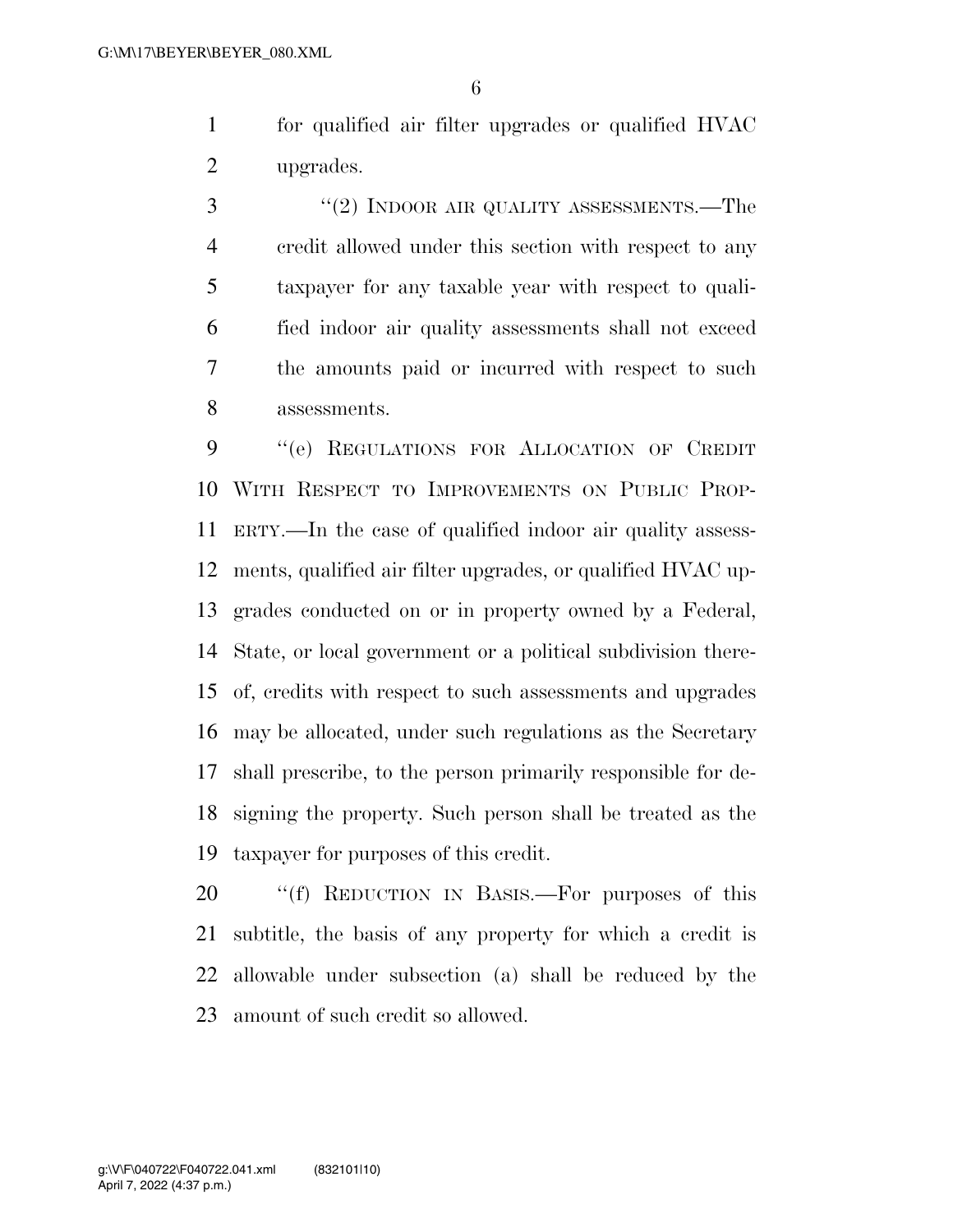for qualified air filter upgrades or qualified HVAC upgrades.

 ''(2) INDOOR AIR QUALITY ASSESSMENTS.—The credit allowed under this section with respect to any taxpayer for any taxable year with respect to quali- fied indoor air quality assessments shall not exceed the amounts paid or incurred with respect to such assessments.

 ''(e) REGULATIONS FOR ALLOCATION OF CREDIT WITH RESPECT TO IMPROVEMENTS ON PUBLIC PROP- ERTY.—In the case of qualified indoor air quality assess- ments, qualified air filter upgrades, or qualified HVAC up- grades conducted on or in property owned by a Federal, State, or local government or a political subdivision there- of, credits with respect to such assessments and upgrades may be allocated, under such regulations as the Secretary shall prescribe, to the person primarily responsible for de- signing the property. Such person shall be treated as the taxpayer for purposes of this credit.

20 "(f) REDUCTION IN BASIS.—For purposes of this subtitle, the basis of any property for which a credit is allowable under subsection (a) shall be reduced by the amount of such credit so allowed.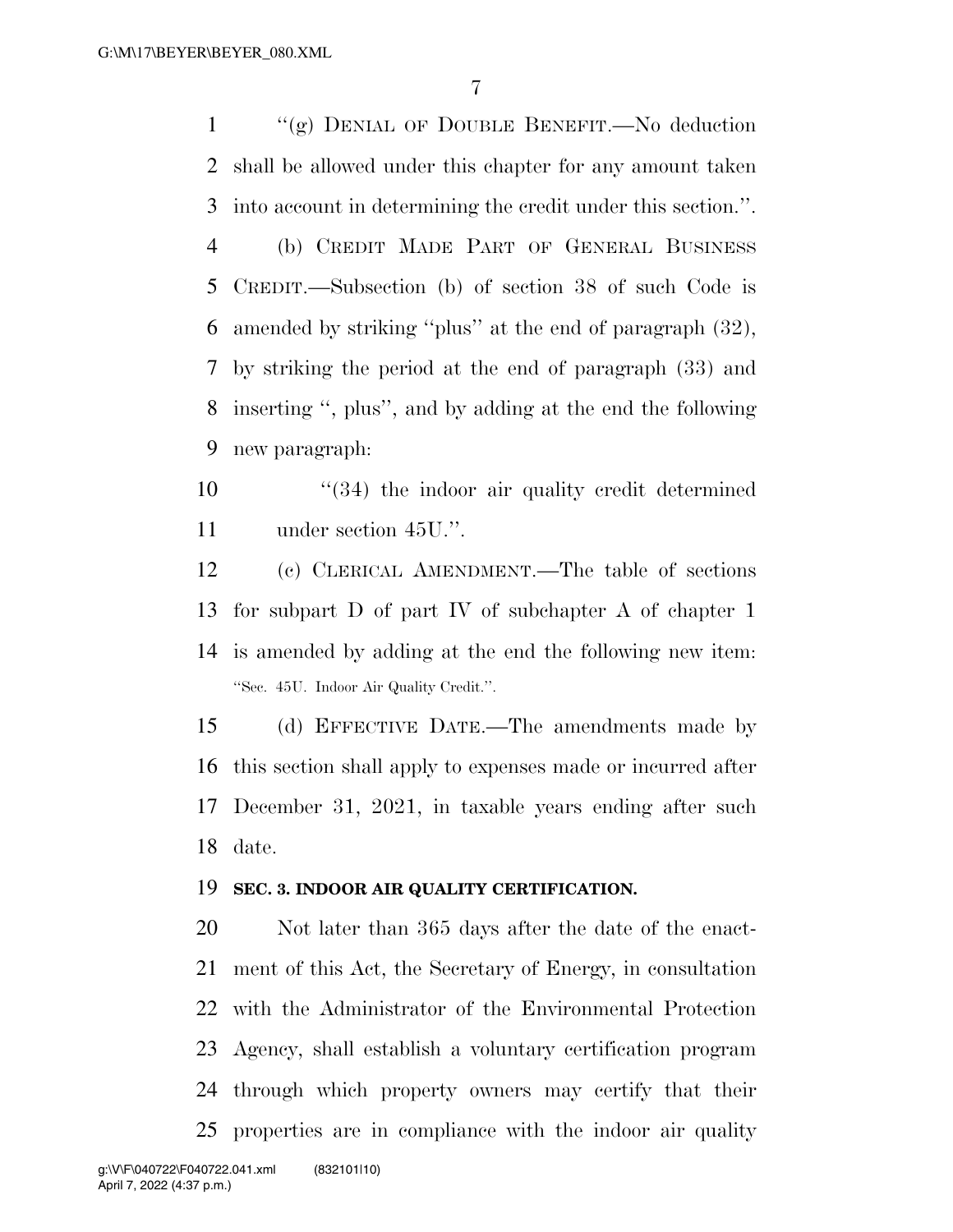''(g) DENIAL OF DOUBLE BENEFIT.—No deduction shall be allowed under this chapter for any amount taken into account in determining the credit under this section.''. (b) CREDIT MADE PART OF GENERAL BUSINESS CREDIT.—Subsection (b) of section 38 of such Code is amended by striking ''plus'' at the end of paragraph (32), by striking the period at the end of paragraph (33) and inserting '', plus'', and by adding at the end the following new paragraph:

10 ''(34) the indoor air quality credit determined under section 45U.''.

 (c) CLERICAL AMENDMENT.—The table of sections for subpart D of part IV of subchapter A of chapter 1 is amended by adding at the end the following new item: ''Sec. 45U. Indoor Air Quality Credit.''.

 (d) EFFECTIVE DATE.—The amendments made by this section shall apply to expenses made or incurred after December 31, 2021, in taxable years ending after such date.

#### **SEC. 3. INDOOR AIR QUALITY CERTIFICATION.**

 Not later than 365 days after the date of the enact- ment of this Act, the Secretary of Energy, in consultation with the Administrator of the Environmental Protection Agency, shall establish a voluntary certification program through which property owners may certify that their properties are in compliance with the indoor air quality